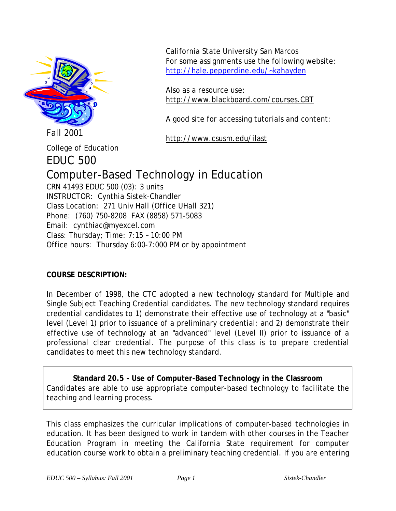

California State University San Marcos For some assignments use the following website: <http://hale.pepperdine.edu/~kahayden>

Also as a resource use: http://www.blackboard.com/courses.CBT

A good site for accessing tutorials and content:

http://www.csusm.edu/ilast

College of Education

EDUC 500

# Computer-Based Technology in Education

CRN 41493 EDUC 500 (03): 3 units INSTRUCTOR: Cynthia Sistek-Chandler Class Location: 271 Univ Hall (Office UHall 321) Phone: (760) 750-8208 FAX (8858) 571-5083 Email: cynthiac@myexcel.com Class: Thursday; Time: 7:15 – 10:00 PM Office hours: Thursday 6:00-7:000 PM or by appointment

# **COURSE DESCRIPTION:**

In December of 1998, the CTC adopted a new technology standard for Multiple and Single Subject Teaching Credential candidates. The new technology standard requires credential candidates to 1) demonstrate their effective use of technology at a "basic" level (Level 1) prior to issuance of a preliminary credential; and 2) demonstrate their effective use of technology at an "advanced" level (Level II) prior to issuance of a professional clear credential. The purpose of this class is to prepare credential candidates to meet this new technology standard.

**Standard 20.5 - Use of Computer-Based Technology in the Classroom** Candidates are able to use appropriate computer-based technology to facilitate the teaching and learning process.

This class emphasizes the curricular implications of computer-based technologies in education. It has been designed to work in tandem with other courses in the Teacher Education Program in meeting the California State requirement for computer education course work to obtain a preliminary teaching credential. If you are entering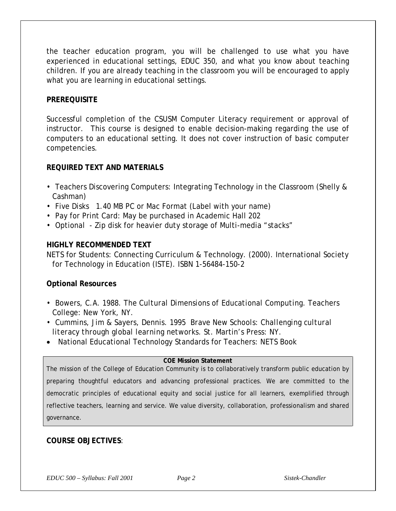the teacher education program, you will be challenged to use what you have experienced in educational settings, EDUC 350, and what you know about teaching children. If you are already teaching in the classroom you will be encouraged to apply what you are learning in educational settings.

#### **PREREQUISITE**

Successful completion of the CSUSM Computer Literacy requirement or approval of instructor. This course is designed to enable decision-making regarding the use of computers to an educational setting. It does not cover instruction of basic computer competencies.

#### **REQUIRED TEXT AND MATERIALS**

- Teachers Discovering Computers: Integrating Technology in the Classroom (Shelly & Cashman)
- Five Disks 1.40 MB PC or Mac Format (Label with your name)
- Pay for Print Card: May be purchased in Academic Hall 202
- Optional Zip disk for heavier duty storage of Multi-media "stacks"

#### **HIGHLY RECOMMENDED TEXT**

NETS for Students: Connecting Curriculum & Technology. (2000). International Society for Technology in Education (ISTE). ISBN 1-56484-150-2

#### **Optional Resources**

- Bowers, C.A. 1988. *The Cultural Dimensions of Educational Computing*. Teachers College: New York, NY.
- Cummins, Jim & Sayers, Dennis. 1995 *Brave New Schools: Challenging cultural literacy through global learning networks*. St. Martin's Press: NY.
- National Educational Technology Standards for Teachers: NETS Book

#### **COE Mission Statement**

The mission of the College of Education Community is to collaboratively transform public education by preparing thoughtful educators and advancing professional practices. We are committed to the democratic principles of educational equity and social justice for all learners, exemplified through reflective teachers, learning and service. We value diversity, collaboration, professionalism and shared governance.

#### **COURSE OBJECTIVES**:

*EDUC 500 – Syllabus: Fall 2001 Page 2 Sistek-Chandler*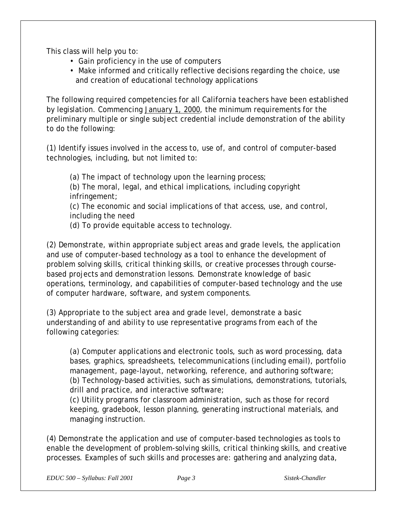This class will help you to:

- Gain proficiency in the use of computers
- Make informed and critically reflective decisions regarding the choice, use and creation of educational technology applications

The following required competencies for all California teachers have been established by legislation. Commencing January 1, 2000, the minimum requirements for the preliminary multiple or single subject credential include demonstration of the ability to do the following:

(1) Identify issues involved in the access to, use of, and control of computer-based technologies, including, but not limited to:

(a) The impact of technology upon the learning process; (b) The moral, legal, and ethical implications, including copyright infringement;

(c) The economic and social implications of that access, use, and control, including the need

(d) To provide equitable access to technology.

(2) Demonstrate, within appropriate subject areas and grade levels, the application and use of computer-based technology as a tool to enhance the development of problem solving skills, critical thinking skills, or creative processes through coursebased projects and demonstration lessons. Demonstrate knowledge of basic operations, terminology, and capabilities of computer-based technology and the use of computer hardware, software, and system components.

(3) Appropriate to the subject area and grade level, demonstrate a basic understanding of and ability to use representative programs from each of the following categories:

(a) Computer applications and electronic tools, such as word processing, data bases, graphics, spreadsheets, telecommunications (including email), portfolio management, page-layout, networking, reference, and authoring software; (b) Technology-based activities, such as simulations, demonstrations, tutorials, drill and practice, and interactive software;

(c) Utility programs for classroom administration, such as those for record keeping, gradebook, lesson planning, generating instructional materials, and managing instruction.

(4) Demonstrate the application and use of computer-based technologies as tools to enable the development of problem-solving skills, critical thinking skills, and creative processes. Examples of such skills and processes are: gathering and analyzing data,

*EDUC 500 – Syllabus: Fall 2001 Page 3 Sistek-Chandler*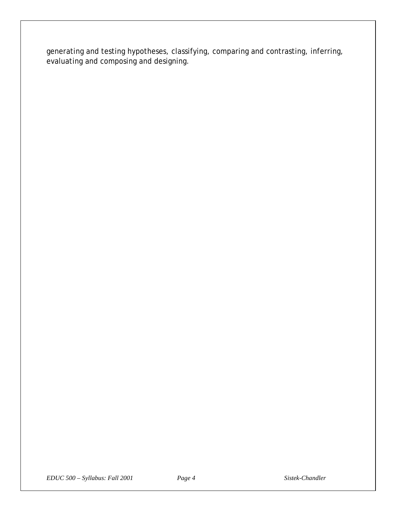generating and testing hypotheses, classifying, comparing and contrasting, inferring, evaluating and composing and designing.

*EDUC 500 – Syllabus: Fall 2001 Page 4 Sistek-Chandler*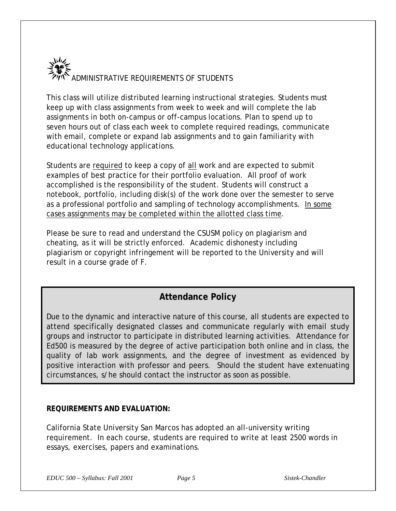

This class will utilize distributed learning instructional strategies. Students must keep up with class assignments from week to week and will complete the lab assignments in both on-campus or off-campus locations. Plan to spend up to seven hours out of class each week to complete required readings, communicate with email, complete or expand lab assignments and to gain familiarity with educational technology applications.

Students are required to keep a copy of all work and are expected to submit examples of best practice for their portfolio evaluation. All proof of work accomplished is the responsibility of the student. Students will construct a notebook, portfolio, including disk(s) of the work done over the semester to serve as a professional portfolio and sampling of technology accomplishments. In some cases assignments may be completed within the allotted class time.

Please be sure to read and understand the CSUSM policy on plagiarism and cheating, as it will be strictly enforced. Academic dishonesty including plagiarism or copyright infringement will be reported to the University and will result in a course grade of F.

# **Attendance Policy**

Due to the dynamic and interactive nature of this course, all students are expected to attend specifically designated classes and communicate regularly with email study groups and instructor to participate in distributed learning activities. Attendance for Ed500 is measured by the degree of active participation both online and in class, the quality of lab work assignments, and the degree of investment as evidenced by positive interaction with professor and peers. Should the student have extenuating circumstances, s/he should contact the instructor as soon as possible.

#### **REQUIREMENTS AND EVALUATION:**

California State University San Marcos has adopted an all-university writing requirement. In each course, students are required to write at least 2500 words in essays, exercises, papers and examinations.

*EDUC 500 – Syllabus: Fall 2001 Page 5 Sistek-Chandler*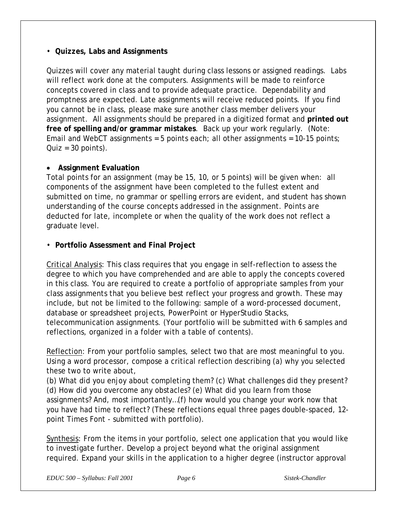#### • **Quizzes, Labs and Assignments**

Quizzes will cover any material taught during class lessons or assigned readings. Labs will reflect work done at the computers. Assignments will be made to reinforce concepts covered in class and to provide adequate practice. Dependability and promptness are expected. Late assignments will receive reduced points. If you find you cannot be in class, please make sure another class member delivers your assignment. All assignments should be prepared in a digitized format and **printed out free of spelling and/or grammar mistakes**. Back up your work regularly. (Note: Email and WebCT assignments = 5 points each; all other assignments =  $10-15$  points;  $Quiz = 30$  points).

## • **Assignment Evaluation**

Total points for an assignment (may be 15, 10, or 5 points) will be given when: all components of the assignment have been completed to the fullest extent and submitted on time, no grammar or spelling errors are evident, and student has shown understanding of the course concepts addressed in the assignment. Points are deducted for late, incomplete or when the quality of the work does not reflect a graduate level.

## • **Portfolio Assessment and Final Project**

Critical Analysis: This class requires that you engage in self-reflection to assess the degree to which you have comprehended and are able to apply the concepts covered in this class. You are required to create a portfolio of appropriate samples from your class assignments that you believe best reflect your progress and growth. These may include, but not be limited to the following: sample of a word-processed document, database or spreadsheet projects, PowerPoint or HyperStudio Stacks, telecommunication assignments. (Your portfolio will be submitted with 6 samples and reflections, organized in a folder with a table of contents).

Reflection: From your portfolio samples, select two that are most meaningful to you. Using a word processor, compose a critical reflection describing (a) why you selected these two to write about,

(b) What did you enjoy about completing them? (c) What challenges did they present? (d) How did you overcome any obstacles? (e) What did you learn from those assignments? And, most importantly…(f) how would you change your work now that you have had time to reflect? (These reflections equal three pages double-spaced, 12 point Times Font - submitted with portfolio).

Synthesis: From the items in your portfolio, select one application that you would like to investigate further. Develop a project beyond what the original assignment required. Expand your skills in the application to a higher degree (instructor approval

*EDUC 500 – Syllabus: Fall 2001 Page 6 Sistek-Chandler*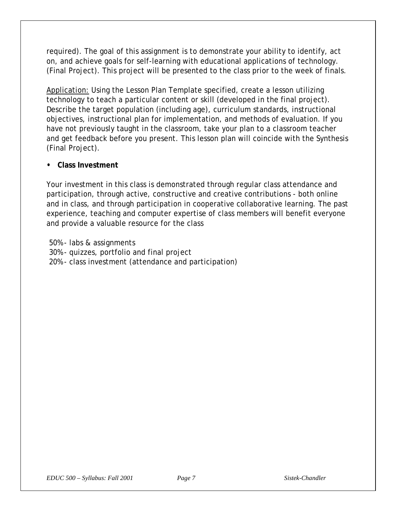required). The goal of this assignment is to demonstrate your ability to identify, act on, and achieve goals for self-learning with educational applications of technology. (Final Project). This project will be presented to the class prior to the week of finals.

Application: Using the Lesson Plan Template specified, create a lesson utilizing technology to teach a particular content or skill (developed in the final project). Describe the target population (including age), curriculum standards, instructional objectives, instructional plan for implementation, and methods of evaluation. If you have not previously taught in the classroom, take your plan to a classroom teacher and get feedback before you present. This lesson plan will coincide with the Synthesis (Final Project).

#### **• Class Investment**

Your investment in this class is demonstrated through regular class attendance and participation, through active, constructive and creative contributions - both online and in class, and through participation in cooperative collaborative learning. The past experience, teaching and computer expertise of class members will benefit everyone and provide a valuable resource for the class

50% - labs & assignments 30% - quizzes, portfolio and final project 20% - class investment (attendance and participation)

*EDUC 500 – Syllabus: Fall 2001 Page 7 Sistek-Chandler*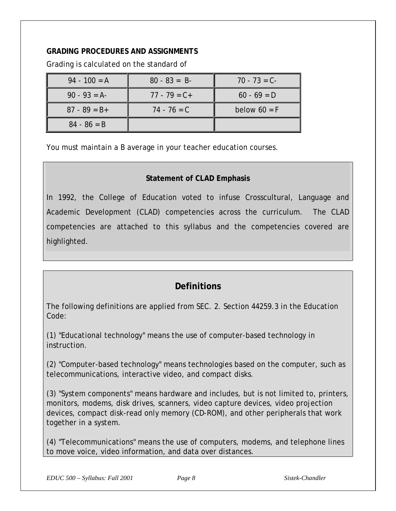## **GRADING PROCEDURES AND ASSIGNMENTS**

Grading is calculated on the standard of

| $94 - 100 = A$  | $80 - 83 = B$   | $70 - 73 = C$  |
|-----------------|-----------------|----------------|
| $90 - 93 = A$   | $77 - 79 = C +$ | $60 - 69 = D$  |
| $87 - 89 = B +$ | $74 - 76 = C$   | below $60 = F$ |
| $84 - 86 = B$   |                 |                |

You must maintain a B average in your teacher education courses.

# **Statement of CLAD Emphasis**

In 1992, the College of Education voted to infuse Crosscultural, Language and Academic Development (CLAD) competencies across the curriculum. The CLAD competencies are attached to this syllabus and the competencies covered are highlighted.

# **Definitions**

The following definitions are applied from SEC. 2. Section 44259.3 in the Education Code:

(1) "Educational technology" means the use of computer-based technology in instruction.

(2) "Computer-based technology" means technologies based on the computer, such as telecommunications, interactive video, and compact disks.

(3) "System components" means hardware and includes, but is not limited to, printers, monitors, modems, disk drives, scanners, video capture devices, video projection devices, compact disk-read only memory (CD-ROM), and other peripherals that work together in a system.

(4) "Telecommunications" means the use of computers, modems, and telephone lines to move voice, video information, and data over distances.

*EDUC 500 – Syllabus: Fall 2001 Page 8 Sistek-Chandler*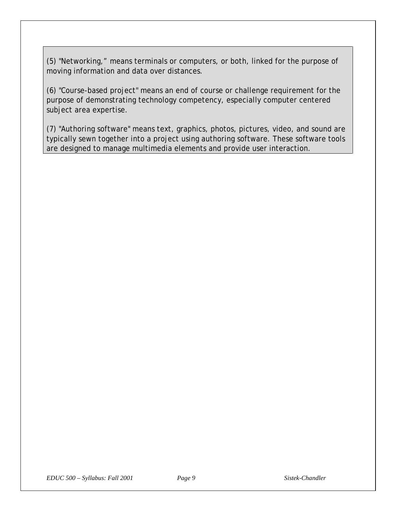(5) "Networking," means terminals or computers, or both, linked for the purpose of moving information and data over distances.

(6) "Course-based project" means an end of course or challenge requirement for the purpose of demonstrating technology competency, especially computer centered subject area expertise.

(7) "Authoring software" means text, graphics, photos, pictures, video, and sound are typically sewn together into a project using authoring software. These software tools are designed to manage multimedia elements and provide user interaction.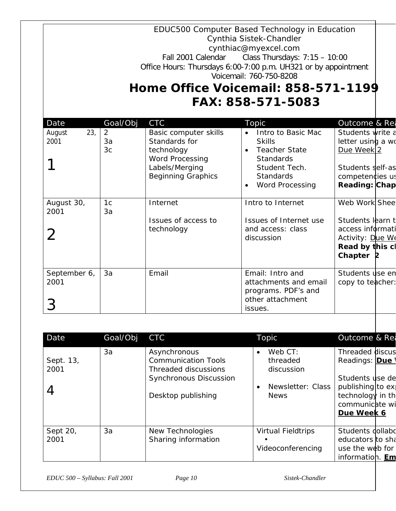|                               |                                       | Fall 2001 Calendar<br>Office Hours: Thursdays 6:00-7:00 p.m. UH321 or by appointment<br>Home Office Voicemail: 858-571-1199 | EDUC500 Computer Based Technology in Education<br>Cynthia Sistek-Chandler<br>cynthiac@myexcel.com<br>Class Thursdays: $7:15 - 10:00$<br>Voicemail: 760-750-8208<br>FAX: 858-571-5083 |                                                                                                                      |
|-------------------------------|---------------------------------------|-----------------------------------------------------------------------------------------------------------------------------|--------------------------------------------------------------------------------------------------------------------------------------------------------------------------------------|----------------------------------------------------------------------------------------------------------------------|
| Date<br>23,<br>August<br>2001 | Goal/Obj<br>2<br>3a<br>3 <sub>c</sub> | <b>CTC</b><br>Basic computer skills<br>Standards for<br>technology                                                          | Topic<br>Intro to Basic Mac<br><b>Skills</b><br>Teacher State<br>$\bullet$                                                                                                           | Outcome & Rea<br>Students write a<br>letter using a wo<br>Due Week 2                                                 |
|                               |                                       | <b>Word Processing</b><br>Labels/Merging<br><b>Beginning Graphics</b>                                                       | <b>Standards</b><br>Student Tech.<br><b>Standards</b><br><b>Word Processing</b>                                                                                                      | Students self-as<br>competencies us<br><b>Reading: Chap</b>                                                          |
| August 30,<br>2001<br>2       | 1 <sub>c</sub><br>3a                  | Internet<br>Issues of access to<br>technology                                                                               | Intro to Internet<br>Issues of Internet use<br>and access: class<br>discussion                                                                                                       | Web Work Shee<br>Students learn t<br>access informati<br>Activity: Due We<br>Read by this cl<br>Chapter <sub>2</sub> |
| September 6,<br>2001          | 3a                                    | Email                                                                                                                       | Email: Intro and<br>attachments and email<br>programs. PDF's and<br>other attachment<br>issues.                                                                                      | Students use en<br>copy to teacher:                                                                                  |

| Date              | Goal/Obj | <b>CTC</b>                                                                                                                | Topic                                                                              | Outcome & Rea                                                                                                                      |
|-------------------|----------|---------------------------------------------------------------------------------------------------------------------------|------------------------------------------------------------------------------------|------------------------------------------------------------------------------------------------------------------------------------|
| Sept. 13,<br>2001 | 3a       | Asynchronous<br><b>Communication Tools</b><br>Threaded discussions<br><b>Synchronous Discussion</b><br>Desktop publishing | Web CT:<br>$\bullet$<br>threaded<br>discussion<br>Newsletter: Class<br><b>News</b> | <b>Threaded discus</b><br>Readings: Due<br>Students use de<br>publishing to ex<br>technology in th<br>communicate wi<br>Due Week 6 |
| Sept 20,<br>2001  | 3a       | New Technologies<br>Sharing information                                                                                   | <b>Virtual Fieldtrips</b><br>Videoconferencing                                     | Students dollabd<br>educators to sha<br>use the web for<br>information. Em                                                         |

*EDUC 500 – Syllabus: Fall 2001 Page 10 Sistek-Chandler*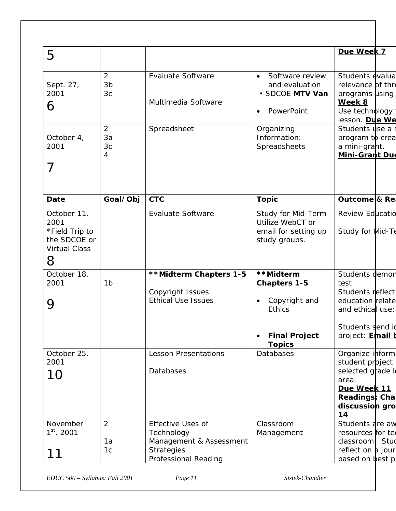|                                                                                    |                                       |                                                                                                                |                                                                                                             | Due Week 7                                                                                                                        |
|------------------------------------------------------------------------------------|---------------------------------------|----------------------------------------------------------------------------------------------------------------|-------------------------------------------------------------------------------------------------------------|-----------------------------------------------------------------------------------------------------------------------------------|
| 5                                                                                  |                                       |                                                                                                                |                                                                                                             |                                                                                                                                   |
| Sept. 27,<br>2001<br>6                                                             | 2<br>3 <sub>b</sub><br>3 <sub>c</sub> | <b>Evaluate Software</b><br>Multimedia Software                                                                | Software review<br>and evaluation<br>· SDCOE MTV Van<br>PowerPoint                                          | Students evalua<br>relevance of thre<br>programs using<br>Week 8<br>Use technology                                                |
| October 4,<br>2001<br>7                                                            | 2<br>3a<br>3c<br>4                    | Spreadsheet                                                                                                    | Organizing<br>Information:<br>Spreadsheets                                                                  | lesson. Due We<br>Students use a<br>program to crea<br>a mini-grant.<br><b>Mini-Grant Due</b>                                     |
| Date                                                                               | Goal/Obj                              | <b>CTC</b>                                                                                                     | <b>Topic</b>                                                                                                | Outcome & Re                                                                                                                      |
| October 11,<br>2001<br>*Field Trip to<br>the SDCOE or<br><b>Virtual Class</b><br>8 |                                       | <b>Evaluate Software</b>                                                                                       | Study for Mid-Term<br>Utilize WebCT or<br>email for setting up<br>study groups.                             | <b>Review Educatio</b><br>Study for Mid-Te                                                                                        |
| October 18,<br>2001<br>9                                                           | 1 <sub>b</sub>                        | **Midterm Chapters 1-5<br>Copyright Issues<br><b>Ethical Use Issues</b>                                        | **Midterm<br><b>Chapters 1-5</b><br>Copyright and<br><b>Ethics</b><br><b>Final Project</b><br><b>Topics</b> | Students demor<br>test<br>Students reflect<br>education relate<br>and ethical use:<br>Students send id<br>project: <b>Email k</b> |
| October 25,<br>2001<br>10                                                          |                                       | <b>Lesson Presentations</b><br>Databases                                                                       | <b>Databases</b>                                                                                            | Organize inform<br>student project<br>selected grade le<br>area.<br>Due Week 11<br>Readings: Cha<br>discussion gro<br>14          |
| November<br>$1st$ , 2001<br>11                                                     | $\overline{2}$<br>1a<br>1c            | <b>Effective Uses of</b><br>Technology<br>Management & Assessment<br><b>Strategies</b><br>Professional Reading | Classroom<br>Management                                                                                     | Students are aw<br>resources for ter<br>classroom Stud<br>reflect on a jour<br>based on best p                                    |

*EDUC 500 – Syllabus: Fall 2001 Page 11 Sistek-Chandler*